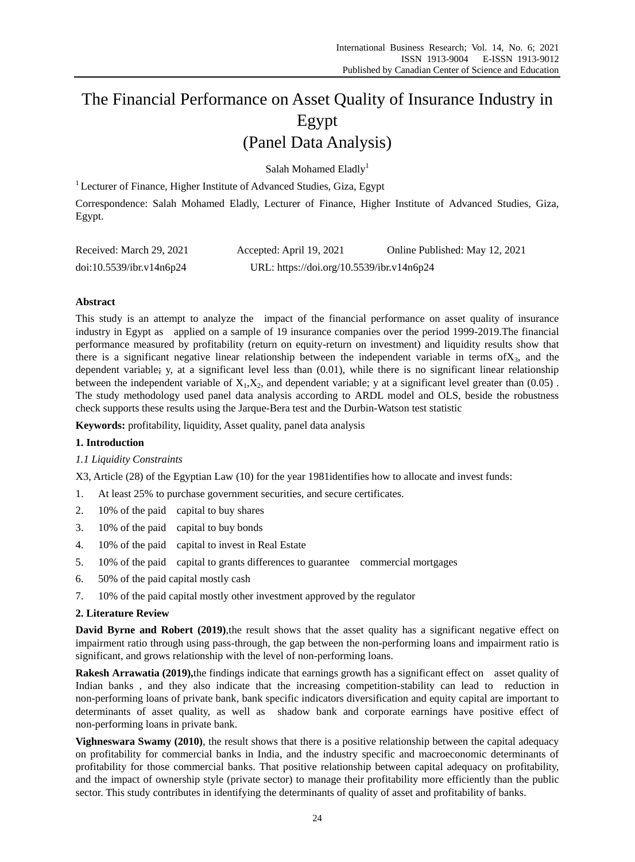# The Financial Performance on Asset Quality of Insurance Industry in Egypt (Panel Data Analysis)

Salah Mohamed Eladly<sup>1</sup>

<sup>1</sup> Lecturer of Finance, Higher Institute of Advanced Studies, Giza, Egypt

Correspondence: Salah Mohamed Eladly, Lecturer of Finance, Higher Institute of Advanced Studies, Giza, Egypt.

| Received: March 29, 2021 | Accepted: April 19, 2021                  | Online Published: May 12, 2021 |
|--------------------------|-------------------------------------------|--------------------------------|
| doi:10.5539/ibr.v14n6p24 | URL: https://doi.org/10.5539/ibr.v14n6p24 |                                |

## **Abstract**

This study is an attempt to analyze the impact of the financial performance on asset quality of insurance industry in Egypt as applied on a sample of 19 insurance companies over the period 1999-2019.The financial performance measured by profitability (return on equity-return on investment) and liquidity results show that there is a significant negative linear relationship between the independent variable in terms of  $X_3$ , and the dependent variable; y, at a significant level less than (0.01), while there is no significant linear relationship between the independent variable of  $X_1, X_2$ , and dependent variable; y at a significant level greater than (0.05). The study methodology used panel data analysis according to ARDL model and OLS, beside the robustness check supports these results using the Jarque-Bera test and the Durbin-Watson test statistic

**Keywords:** profitability, liquidity, Asset quality, panel data analysis

## **1. Introduction**

## *1.1 Liquidity Constraints*

X3, Article (28) of the Egyptian Law (10) for the year 1981identifies how to allocate and invest funds:

- 1. At least 25% to purchase government securities, and secure certificates.
- 2. 10% of the paid capital to buy shares
- 3. 10% of the paid capital to buy bonds
- 4. 10% of the paid capital to invest in Real Estate
- 5. 10% of the paid capital to grants differences to guarantee commercial mortgages
- 6. 50% of the paid capital mostly cash
- 7. 10% of the paid capital mostly other investment approved by the regulator

#### **2. Literature Review**

**David Byrne and Robert (2019)**,the result shows that the asset quality has a significant negative effect on impairment ratio through using pass-through, the gap between the non-performing loans and impairment ratio is significant, and grows relationship with the level of non-performing loans.

**Rakesh Arrawatia (2019),**the findings indicate that earnings growth has a significant effect on asset quality of Indian banks , and they also indicate that the increasing competition-stability can lead to reduction in non-performing loans of private bank, bank specific indicators diversification and equity capital are important to determinants of asset quality, as well as shadow bank and corporate earnings have positive effect of non-performing loans in private bank.

**Vighneswara Swamy (2010)**, the result shows that there is a positive relationship between the capital adequacy on profitability for commercial banks in India, and the industry specific and macroeconomic determinants of profitability for those commercial banks. That positive relationship between capital adequacy on profitability, and the impact of ownership style (private sector) to manage their profitability more efficiently than the public sector. This study contributes in identifying the determinants of quality of asset and profitability of banks.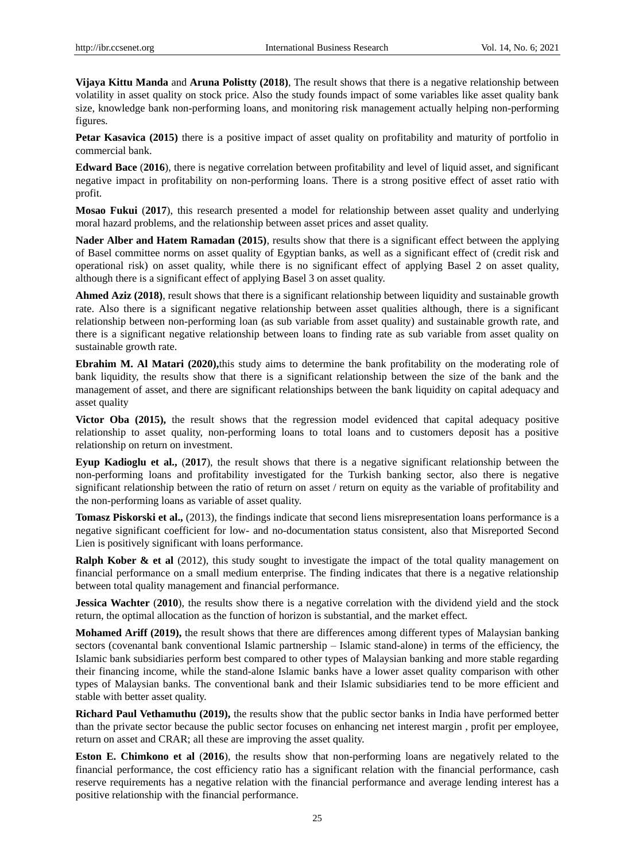**Vijaya Kittu Manda** and **Aruna Polistty (2018)**, The result shows that there is a negative relationship between volatility in asset quality on stock price. Also the study founds impact of some variables like asset quality bank size, knowledge bank non-performing loans, and monitoring risk management actually helping non-performing figures.

**Petar Kasavica (2015)** there is a positive impact of asset quality on profitability and maturity of portfolio in commercial bank.

**Edward Bace** (**2016**), there is negative correlation between profitability and level of liquid asset, and significant negative impact in profitability on non-performing loans. There is a strong positive effect of asset ratio with profit.

**Mosao Fukui** (**2017**), this research presented a model for relationship between asset quality and underlying moral hazard problems, and the relationship between asset prices and asset quality.

**Nader Alber and Hatem Ramadan (2015)**, results show that there is a significant effect between the applying of Basel committee norms on asset quality of Egyptian banks, as well as a significant effect of (credit risk and operational risk) on asset quality, while there is no significant effect of applying Basel 2 on asset quality, although there is a significant effect of applying Basel 3 on asset quality.

**Ahmed Aziz (2018)**, result shows that there is a significant relationship between liquidity and sustainable growth rate. Also there is a significant negative relationship between asset qualities although, there is a significant relationship between non-performing loan (as sub variable from asset quality) and sustainable growth rate, and there is a significant negative relationship between loans to finding rate as sub variable from asset quality on sustainable growth rate.

**Ebrahim M. Al Matari (2020),**this study aims to determine the bank profitability on the moderating role of bank liquidity, the results show that there is a significant relationship between the size of the bank and the management of asset, and there are significant relationships between the bank liquidity on capital adequacy and asset quality

**Victor Oba (2015),** the result shows that the regression model evidenced that capital adequacy positive relationship to asset quality, non-performing loans to total loans and to customers deposit has a positive relationship on return on investment.

**Eyup Kadioglu et al.,** (**2017**), the result shows that there is a negative significant relationship between the non-performing loans and profitability investigated for the Turkish banking sector, also there is negative significant relationship between the ratio of return on asset / return on equity as the variable of profitability and the non-performing loans as variable of asset quality.

**Tomasz Piskorski et al.,** (2013), the findings indicate that second liens misrepresentation loans performance is a negative significant coefficient for low- and no-documentation status consistent, also that Misreported Second Lien is positively significant with loans performance.

**Ralph Kober & et al** (2012), this study sought to investigate the impact of the total quality management on financial performance on a small medium enterprise. The finding indicates that there is a negative relationship between total quality management and financial performance.

**Jessica Wachter** (2010), the results show there is a negative correlation with the dividend yield and the stock return, the optimal allocation as the function of horizon is substantial, and the market effect.

**Mohamed Ariff (2019),** the result shows that there are differences among different types of Malaysian banking sectors (covenantal bank conventional Islamic partnership – Islamic stand-alone) in terms of the efficiency, the Islamic bank subsidiaries perform best compared to other types of Malaysian banking and more stable regarding their financing income, while the stand-alone Islamic banks have a lower asset quality comparison with other types of Malaysian banks. The conventional bank and their Islamic subsidiaries tend to be more efficient and stable with better asset quality.

**Richard Paul Vethamuthu (2019),** the results show that the public sector banks in India have performed better than the private sector because the public sector focuses on enhancing net interest margin , profit per employee, return on asset and CRAR; all these are improving the asset quality.

**Eston E. Chimkono et al** (**2016**), the results show that non-performing loans are negatively related to the financial performance, the cost efficiency ratio has a significant relation with the financial performance, cash reserve requirements has a negative relation with the financial performance and average lending interest has a positive relationship with the financial performance.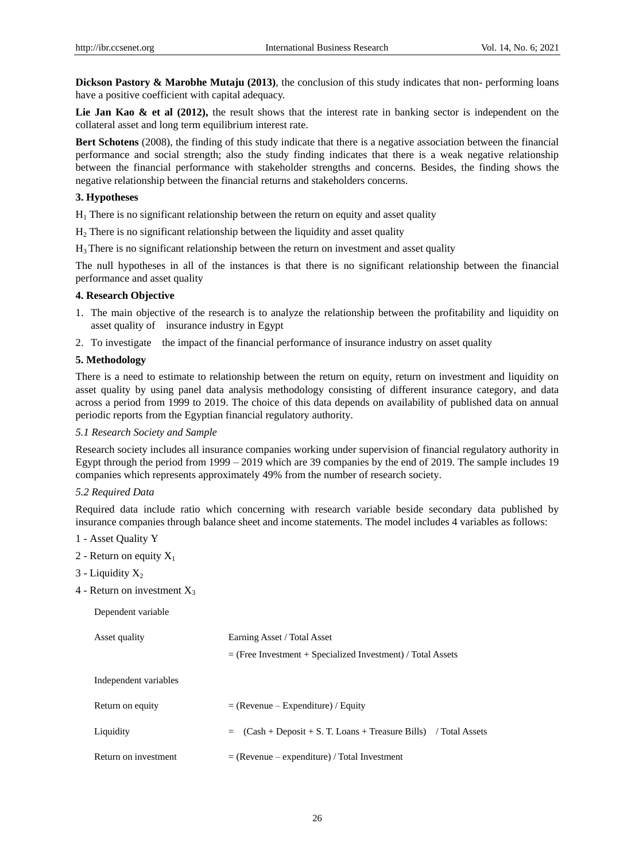**Dickson Pastory & Marobhe Mutaju (2013)**, the conclusion of this study indicates that non- performing loans have a positive coefficient with capital adequacy.

Lie Jan Kao & et al (2012), the result shows that the interest rate in banking sector is independent on the collateral asset and long term equilibrium interest rate.

**Bert Schotens** (2008), the finding of this study indicate that there is a negative association between the financial performance and social strength; also the study finding indicates that there is a weak negative relationship between the financial performance with stakeholder strengths and concerns. Besides, the finding shows the negative relationship between the financial returns and stakeholders concerns.

#### **3. Hypotheses**

 $H_1$  There is no significant relationship between the return on equity and asset quality

 $H<sub>2</sub>$  There is no significant relationship between the liquidity and asset quality

 $H_3$  There is no significant relationship between the return on investment and asset quality

The null hypotheses in all of the instances is that there is no significant relationship between the financial performance and asset quality

## **4. Research Objective**

- 1. The main objective of the research is to analyze the relationship between the profitability and liquidity on asset quality of insurance industry in Egypt
- 2. To investigate the impact of the financial performance of insurance industry on asset quality

## **5. Methodology**

There is a need to estimate to relationship between the return on equity, return on investment and liquidity on asset quality by using panel data analysis methodology consisting of different insurance category, and data across a period from 1999 to 2019. The choice of this data depends on availability of published data on annual periodic reports from the Egyptian financial regulatory authority.

#### *5.1 Research Society and Sample*

Research society includes all insurance companies working under supervision of financial regulatory authority in Egypt through the period from 1999 – 2019 which are 39 companies by the end of 2019. The sample includes 19 companies which represents approximately 49% from the number of research society.

## *5.2 Required Data*

Required data include ratio which concerning with research variable beside secondary data published by insurance companies through balance sheet and income statements. The model includes 4 variables as follows:

- 1 Asset Quality Y
- 2 Return on equity  $X_1$
- $3$  Liquidity  $X_2$
- 4 Return on investment  $X_3$

Dependent variable

| Asset quality         | Earning Asset / Total Asset                                             |  |  |  |
|-----------------------|-------------------------------------------------------------------------|--|--|--|
|                       | $=$ (Free Investment + Specialized Investment) / Total Assets           |  |  |  |
| Independent variables |                                                                         |  |  |  |
| Return on equity      | $=$ (Revenue – Expenditure) / Equity                                    |  |  |  |
| Liquidity             | $(Cash + Deposit + S. T. Loans + Treasure Bills)$ / Total Assets<br>$=$ |  |  |  |
| Return on investment  | $=$ (Revenue – expenditure) / Total Investment                          |  |  |  |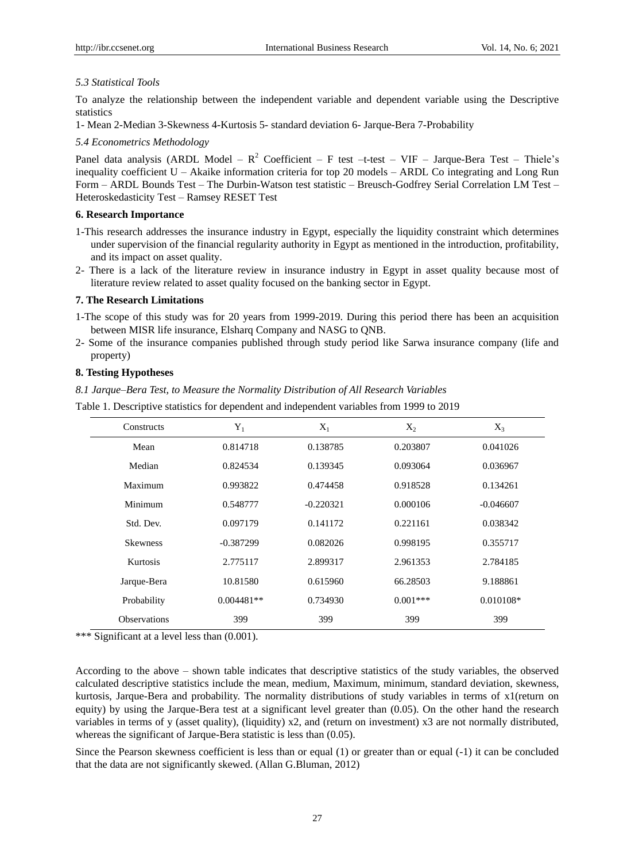#### *5.3 Statistical Tools*

To analyze the relationship between the independent variable and dependent variable using the Descriptive statistics

1- Mean 2-Median 3-Skewness 4-Kurtosis 5- standard deviation 6- Jarque-Bera 7-Probability

*5.4 Econometrics Methodology*

Panel data analysis (ARDL Model –  $R^2$  Coefficient – F test –t-test – VIF – Jarque-Bera Test – Thiele's inequality coefficient U – Akaike information criteria for top 20 models – ARDL Co integrating and Long Run Form – ARDL Bounds Test – The Durbin-Watson test statistic – Breusch-Godfrey Serial Correlation LM Test – Heteroskedasticity Test – Ramsey RESET Test

#### **6. Research Importance**

- 1-This research addresses the insurance industry in Egypt, especially the liquidity constraint which determines under supervision of the financial regularity authority in Egypt as mentioned in the introduction, profitability, and its impact on asset quality.
- 2- There is a lack of the literature review in insurance industry in Egypt in asset quality because most of literature review related to asset quality focused on the banking sector in Egypt.

#### **7. The Research Limitations**

- 1-The scope of this study was for 20 years from 1999-2019. During this period there has been an acquisition between MISR life insurance, Elsharq Company and NASG to QNB.
- 2- Some of the insurance companies published through study period like Sarwa insurance company (life and property)

## **8. Testing Hypotheses**

*8.1 Jarque–Bera Test, to Measure the Normality Distribution of All Research Variables*

Table 1. Descriptive statistics for dependent and independent variables from 1999 to 2019

| Constructs          | $Y_1$        | $X_1$       | $X_2$      | $X_3$       |
|---------------------|--------------|-------------|------------|-------------|
| Mean                | 0.814718     | 0.138785    | 0.203807   | 0.041026    |
| Median              | 0.824534     | 0.139345    | 0.093064   | 0.036967    |
| Maximum             | 0.993822     | 0.474458    | 0.918528   | 0.134261    |
| Minimum             | 0.548777     | $-0.220321$ | 0.000106   | $-0.046607$ |
| Std. Dev.           | 0.097179     | 0.141172    | 0.221161   | 0.038342    |
| <b>Skewness</b>     | $-0.387299$  | 0.082026    | 0.998195   | 0.355717    |
| Kurtosis            | 2.775117     | 2.899317    | 2.961353   | 2.784185    |
| Jarque-Bera         | 10.81580     | 0.615960    | 66.28503   | 9.188861    |
| Probability         | $0.004481**$ | 0.734930    | $0.001***$ | $0.010108*$ |
| <b>Observations</b> | 399          | 399         | 399        | 399         |

\*\*\* Significant at a level less than (0.001).

According to the above – shown table indicates that descriptive statistics of the study variables, the observed calculated descriptive statistics include the mean, medium, Maximum, minimum, standard deviation, skewness, kurtosis, Jarque-Bera and probability. The normality distributions of study variables in terms of x1(return on equity) by using the Jarque-Bera test at a significant level greater than (0.05). On the other hand the research variables in terms of y (asset quality), (liquidity) x2, and (return on investment) x3 are not normally distributed, whereas the significant of Jarque-Bera statistic is less than (0.05).

Since the Pearson skewness coefficient is less than or equal (1) or greater than or equal (-1) it can be concluded that the data are not significantly skewed. (Allan G.Bluman, 2012)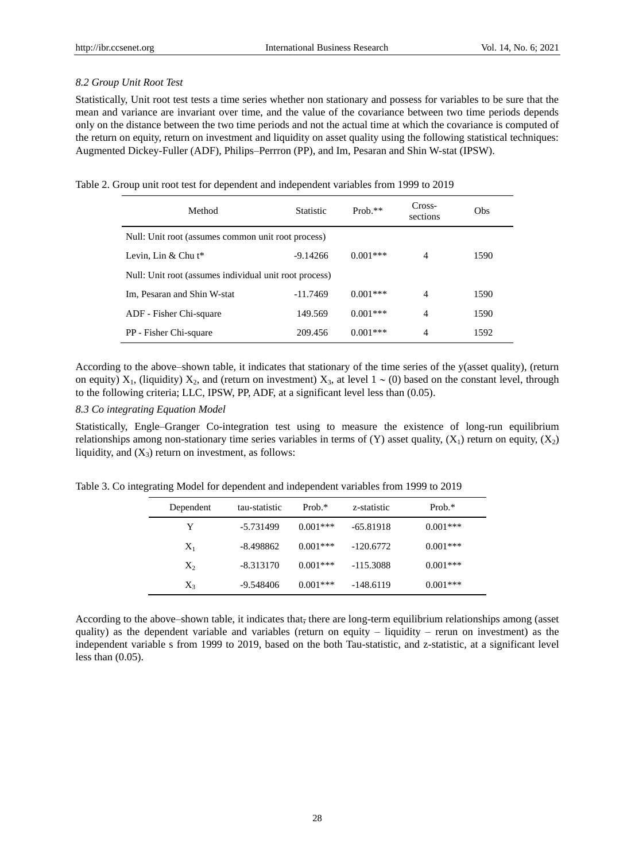## *8.2 Group Unit Root Test*

Statistically, Unit root test tests a time series whether non stationary and possess for variables to be sure that the mean and variance are invariant over time, and the value of the covariance between two time periods depends only on the distance between the two time periods and not the actual time at which the covariance is computed of the return on equity, return on investment and liquidity on asset quality using the following statistical techniques: Augmented Dickey-Fuller (ADF), Philips–Perrron (PP), and Im, Pesaran and Shin W-stat (IPSW).

Table 2. Group unit root test for dependent and independent variables from 1999 to 2019

| Method                                                 | <b>Statistic</b> | $Prob.**$   | Cross-<br>sections | Obs  |  |  |
|--------------------------------------------------------|------------------|-------------|--------------------|------|--|--|
| Null: Unit root (assumes common unit root process)     |                  |             |                    |      |  |  |
| Levin, Lin & Chu $t^*$                                 | $-9.14266$       | $0.001$ *** | 4                  | 1590 |  |  |
| Null: Unit root (assumes individual unit root process) |                  |             |                    |      |  |  |
| Im, Pesaran and Shin W-stat                            | $-11.7469$       | $0.001***$  | 4                  | 1590 |  |  |
| ADF - Fisher Chi-square                                | 149.569          | $0.001***$  | 4                  | 1590 |  |  |
| PP - Fisher Chi-square                                 | 209.456          | $0.001***$  | 4                  | 1592 |  |  |

According to the above–shown table, it indicates that stationary of the time series of the y(asset quality), (return on equity)  $X_1$ , (liquidity)  $X_2$ , and (return on investment)  $X_3$ , at level  $1 \sim (0)$  based on the constant level, through to the following criteria; LLC, IPSW, PP, ADF, at a significant level less than (0.05).

## *8.3 Co integrating Equation Model*

Statistically, Engle–Granger Co-integration test using to measure the existence of long-run equilibrium relationships among non-stationary time series variables in terms of  $(Y)$  asset quality,  $(X_1)$  return on equity,  $(X_2)$ liquidity, and  $(X_3)$  return on investment, as follows:

Table 3. Co integrating Model for dependent and independent variables from 1999 to 2019

| Dependent | tau-statistic | Prob. $*$  | z-statistic | Prob. $*$  |
|-----------|---------------|------------|-------------|------------|
| Y         | -5.731499     | $0.001***$ | $-65.81918$ | $0.001***$ |
| $X_1$     | $-8.498862$   | $0.001***$ | $-120.6772$ | $0.001***$ |
| $X_2$     | $-8.313170$   | $0.001***$ | $-115.3088$ | $0.001***$ |
| $X_3$     | -9.548406     | $0.001***$ | $-148.6119$ | $0.001***$ |

According to the above–shown table, it indicates that, there are long-term equilibrium relationships among (asset quality) as the dependent variable and variables (return on equity  $-$  liquidity  $-$  rerun on investment) as the independent variable s from 1999 to 2019, based on the both Tau-statistic, and z-statistic, at a significant level less than (0.05).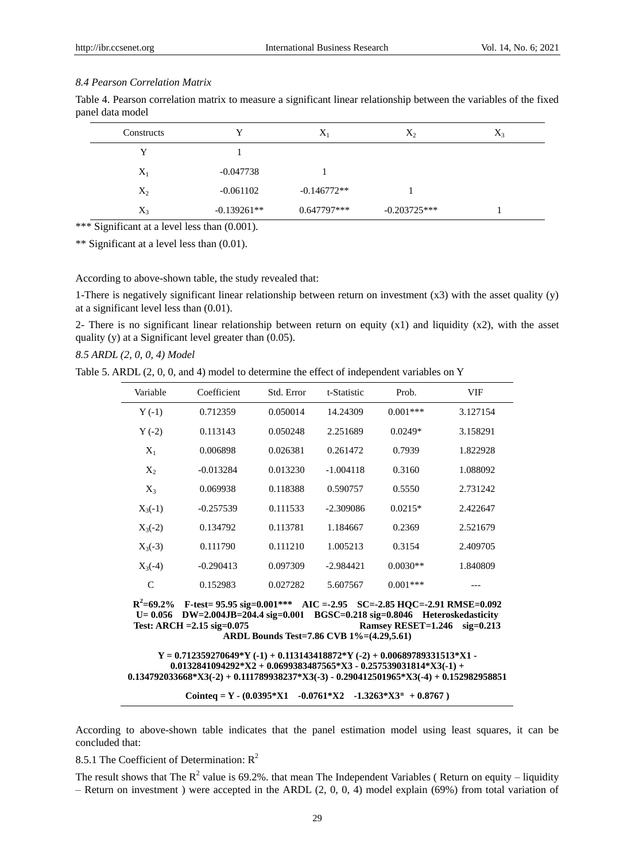#### *8.4 Pearson Correlation Matrix*

|                  | Table 4. Pearson correlation matrix to measure a significant linear relationship between the variables of the fixed |  |  |  |  |
|------------------|---------------------------------------------------------------------------------------------------------------------|--|--|--|--|
| panel data model |                                                                                                                     |  |  |  |  |

| Constructs | v             | $X_1$         | $X_2$          | $X_3$ |
|------------|---------------|---------------|----------------|-------|
| v          |               |               |                |       |
| $X_1$      | $-0.047738$   |               |                |       |
| $X_2$      | $-0.061102$   | $-0.146772**$ |                |       |
| $X_3$      | $-0.139261**$ | $0.647797***$ | $-0.203725***$ |       |

\*\*\* Significant at a level less than (0.001).

\*\* Significant at a level less than (0.01).

According to above-shown table, the study revealed that:

1-There is negatively significant linear relationship between return on investment (x3) with the asset quality (y) at a significant level less than (0.01).

2- There is no significant linear relationship between return on equity  $(x1)$  and liquidity  $(x2)$ , with the asset quality (y) at a Significant level greater than (0.05).

*8.5 ARDL (2, 0, 0, 4) Model*

Table 5. ARDL (2, 0, 0, and 4) model to determine the effect of independent variables on Y

| Variable     | Coefficient | Std. Error | t-Statistic | Prob.       | VIF      |
|--------------|-------------|------------|-------------|-------------|----------|
| $Y(-1)$      | 0.712359    | 0.050014   | 14.24309    | $0.001$ *** | 3.127154 |
| $Y(-2)$      | 0.113143    | 0.050248   | 2.251689    | $0.0249*$   | 3.158291 |
| $X_1$        | 0.006898    | 0.026381   | 0.261472    | 0.7939      | 1.822928 |
| $X_2$        | $-0.013284$ | 0.013230   | $-1.004118$ | 0.3160      | 1.088092 |
| $X_3$        | 0.069938    | 0.118388   | 0.590757    | 0.5550      | 2.731242 |
| $X_3(-1)$    | $-0.257539$ | 0.111533   | $-2.309086$ | $0.0215*$   | 2.422647 |
| $X_3(-2)$    | 0.134792    | 0.113781   | 1.184667    | 0.2369      | 2.521679 |
| $X_3(-3)$    | 0.111790    | 0.111210   | 1.005213    | 0.3154      | 2.409705 |
| $X_3(-4)$    | $-0.290413$ | 0.097309   | $-2.984421$ | $0.0030**$  | 1.840809 |
| $\mathsf{C}$ | 0.152983    | 0.027282   | 5.607567    | $0.001***$  |          |

**R 2 =69.2% F-test= 95.95 sig=0.001\*\*\* AIC =-2.95 SC=-2.85 HQC=-2.91 RMSE=0.092 U= 0.056 DW=2.004JB=204.4 sig=0.000 BGSC=0.218 sig=0.8046 Heteroskedasticity Test: ARCH =2.15 sig=0.075 Ramsey RESET=1.246 sig=0.213 ARDL Bounds Test=7.86 CVB 1%=(4.29,5.61)**

**Y = 0.712359270649\*Y (-1) + 0.113143418872\*Y (-2) + 0.00689789331513\*X1 - 0.0132841094292\*X2 + 0.0699383487565\*X3 - 0.257539031814\*X3(-1) + 0.134792033668\*X3(-2) + 0.111789938237\*X3(-3) - 0.290412501965\*X3(-4) + 0.152982958851**

**Cointeq = Y - (0.0395\*X1 -0.0761\*X2 -1.3263\*X3\* + 0.8767 )**

According to above-shown table indicates that the panel estimation model using least squares, it can be concluded that:

8.5.1 The Coefficient of Determination:  $R^2$ 

The result shows that The  $R^2$  value is 69.2%. that mean The Independent Variables (Return on equity – liquidity – Return on investment) were accepted in the ARDL  $(2, 0, 0, 4)$  model explain (69%) from total variation of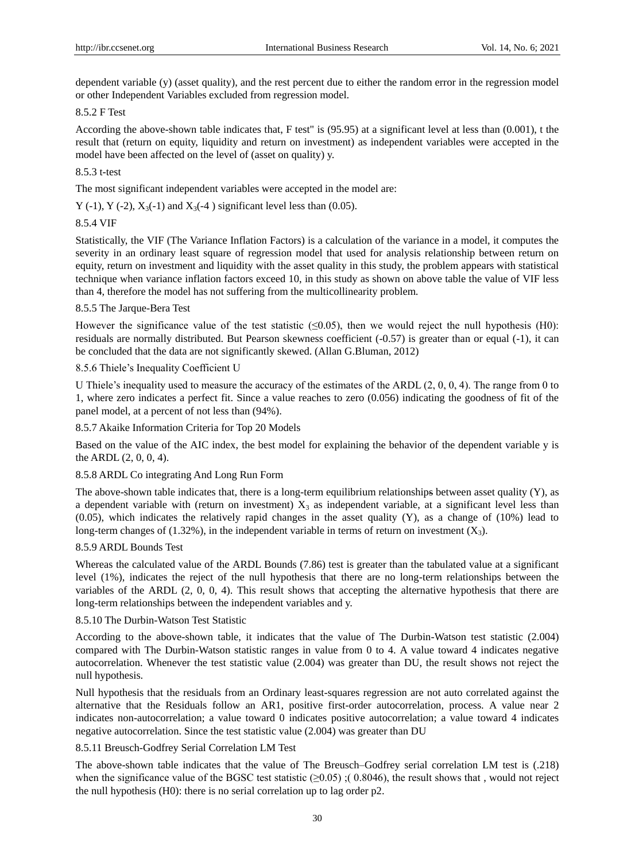dependent variable (y) (asset quality), and the rest percent due to either the random error in the regression model or other Independent Variables excluded from regression model.

#### 8.5.2 F Test

According the above-shown table indicates that, F test" is (95.95) at a significant level at less than (0.001), t the result that (return on equity, liquidity and return on investment) as independent variables were accepted in the model have been affected on the level of (asset on quality) y.

#### 8.5.3 t-test

The most significant independent variables were accepted in the model are:

Y (-1), Y (-2),  $X_3$ (-1) and  $X_3$ (-4) significant level less than (0.05).

#### 8.5.4 VIF

Statistically, the VIF (The Variance Inflation Factors) is a calculation of the variance in a model, it computes the severity in an ordinary least square of regression model that used for analysis relationship between return on equity, return on investment and liquidity with the asset quality in this study, the problem appears with statistical technique when variance inflation factors exceed 10, in this study as shown on above table the value of VIF less than 4, therefore the model has not suffering from the multicollinearity problem.

## 8.5.5 The Jarque-Bera Test

However the significance value of the test statistic  $(\leq 0.05)$ , then we would reject the null hypothesis (H0): residuals are normally distributed. But Pearson skewness coefficient (-0.57) is greater than or equal (-1), it can be concluded that the data are not significantly skewed. (Allan G.Bluman, 2012)

#### 8.5.6 Thiele's Inequality Coefficient U

U Thiele's inequality used to measure the accuracy of the estimates of the ARDL (2, 0, 0, 4). The range from 0 to 1, where zero indicates a perfect fit. Since a value reaches to zero (0.056) indicating the goodness of fit of the panel model, at a percent of not less than (94%).

#### 8.5.7 Akaike Information Criteria for Top 20 Models

Based on the value of the AIC index, the best model for explaining the behavior of the dependent variable y is the ARDL (2, 0, 0, 4).

#### 8.5.8 ARDL Co integrating And Long Run Form

The above-shown table indicates that, there is a long-term equilibrium relationships between asset quality (Y), as a dependent variable with (return on investment)  $X_3$  as independent variable, at a significant level less than (0.05), which indicates the relatively rapid changes in the asset quality (Y), as a change of (10%) lead to long-term changes of  $(1.32\%)$ , in the independent variable in terms of return on investment  $(X_3)$ .

#### 8.5.9 ARDL Bounds Test

Whereas the calculated value of the ARDL Bounds (7.86) test is greater than the tabulated value at a significant level (1%), indicates the reject of the null hypothesis that there are no long-term relationships between the variables of the ARDL (2, 0, 0, 4). This result shows that accepting the alternative hypothesis that there are long-term relationships between the independent variables and y.

#### 8.5.10 The Durbin-Watson Test Statistic

According to the above-shown table, it indicates that the value of The Durbin-Watson test statistic (2.004) compared with The Durbin-Watson statistic ranges in value from 0 to 4. A value toward 4 indicates negative autocorrelation. Whenever the test statistic value (2.004) was greater than DU, the result shows not reject the null hypothesis.

Null hypothesis that the residuals from an Ordinary least-squares regression are not auto correlated against the alternative that the Residuals follow an AR1, positive first-order autocorrelation, process. A value near 2 indicates non-autocorrelation; a value toward 0 indicates positive autocorrelation; a value toward 4 indicates negative autocorrelation. Since the test statistic value (2.004) was greater than DU

# 8.5.11 Breusch-Godfrey Serial Correlation LM Test

The above-shown table indicates that the value of The Breusch–Godfrey serial correlation LM test is (.218) when the significance value of the BGSC test statistic  $(\geq 0.05)$ ; (0.8046), the result shows that , would not reject the null hypothesis (H0): there is no serial correlation up to lag order p2.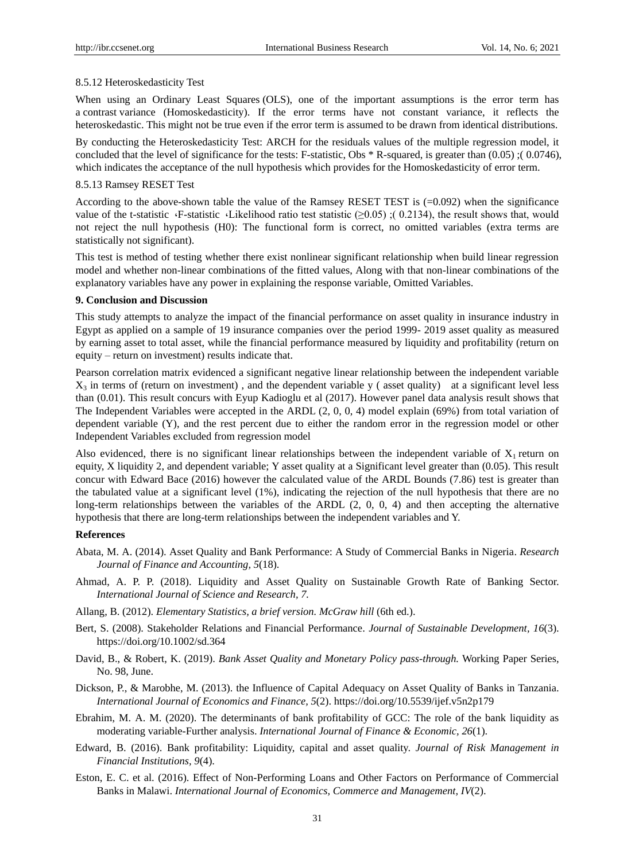#### 8.5.12 Heteroskedasticity Test

When using an [Ordinary Least Squares](https://en.wikipedia.org/wiki/Ordinary_least_squares) (OLS), one of the important assumptions is the error term has a [contrast](https://en.wikipedia.org/wiki/Mathematical_constant) [variance](https://en.wikipedia.org/wiki/Variance) (Homoskedasticity). If the error terms have not constant variance, it reflects the heteroskedastic. This might not be true even if the error term is assumed to be drawn from identical distributions.

By conducting the Heteroskedasticity Test: ARCH for the residuals values of the multiple regression model, it concluded that the level of significance for the tests: F-statistic, Obs \* R-squared, is greater than (0.05) ;( 0.0746), which indicates the acceptance of the null hypothesis which provides for the Homoskedasticity of error term.

#### 8.5.13 Ramsey RESET Test

According to the above-shown table the value of the Ramsey RESET TEST is (=0.092) when the significance value of the t-statistic  $\cdot$ F-statistic  $\cdot$ Likelihood ratio test statistic ( $\geq 0.05$ ) ;( 0.2134), the result shows that, would not reject the null hypothesis (H0): The functional form is correct, no omitted variables (extra terms are statistically not significant).

This test is method of testing whether there exist nonlinear significant relationship when build linear regression model and whether non-linear combinations of the fitted values, Along with that non-linear combinations of the explanatory variables have any power in explaining the response variable, Omitted Variables.

#### **9. Conclusion and Discussion**

This study attempts to analyze the impact of the financial performance on asset quality in insurance industry in Egypt as applied on a sample of 19 insurance companies over the period 1999- 2019 asset quality as measured by earning asset to total asset, while the financial performance measured by liquidity and profitability (return on equity – return on investment) results indicate that.

Pearson correlation matrix evidenced a significant negative linear relationship between the independent variable  $X_3$  in terms of (return on investment), and the dependent variable y (asset quality) at a significant level less than (0.01). This result concurs with Eyup Kadioglu et al (2017). However panel data analysis result shows that The Independent Variables were accepted in the ARDL (2, 0, 0, 4) model explain (69%) from total variation of dependent variable (Y), and the rest percent due to either the random error in the regression model or other Independent Variables excluded from regression model

Also evidenced, there is no significant linear relationships between the independent variable of  $X_1$  return on equity, X liquidity 2, and dependent variable; Y asset quality at a Significant level greater than (0.05). This result concur with Edward Bace (2016) however the calculated value of the ARDL Bounds (7.86) test is greater than the tabulated value at a significant level (1%), indicating the rejection of the null hypothesis that there are no long-term relationships between the variables of the ARDL (2, 0, 0, 4) and then accepting the alternative hypothesis that there are long-term relationships between the independent variables and Y.

## **References**

- Abata, M. A. (2014). Asset Quality and Bank Performance: A Study of Commercial Banks in Nigeria. *Research Journal of Finance and Accounting, 5*(18).
- Ahmad, A. P. P. (2018). Liquidity and Asset Quality on Sustainable Growth Rate of Banking Sector. *International Journal of Science and Research, 7.*
- Allang, B. (2012). *Elementary Statistics, a brief version. McGraw hill* (6th ed.).
- Bert, S. (2008). Stakeholder Relations and Financial Performance. *Journal of Sustainable Development, 16*(3). https://doi.org/10.1002/sd.364
- David, B., & Robert, K. (2019). *Bank Asset Quality and Monetary Policy pass-through.* Working Paper Series, No. 98, June.
- Dickson, P., & Marobhe, M. (2013). the Influence of Capital Adequacy on Asset Quality of Banks in Tanzania. *International Journal of Economics and Finance, 5*(2). https://doi.org/10.5539/ijef.v5n2p179
- Ebrahim, M. A. M. (2020). The determinants of bank profitability of GCC: The role of the bank liquidity as moderating variable-Further analysis. *International Journal of Finance & Economic, 26*(1).
- Edward, B. (2016). Bank profitability: Liquidity, capital and asset quality. *Journal of Risk Management in Financial Institutions, 9*(4).
- Eston, E. C. et al. (2016). Effect of Non-Performing Loans and Other Factors on Performance of Commercial Banks in Malawi. *International Journal of Economics, Commerce and Management, IV*(2).